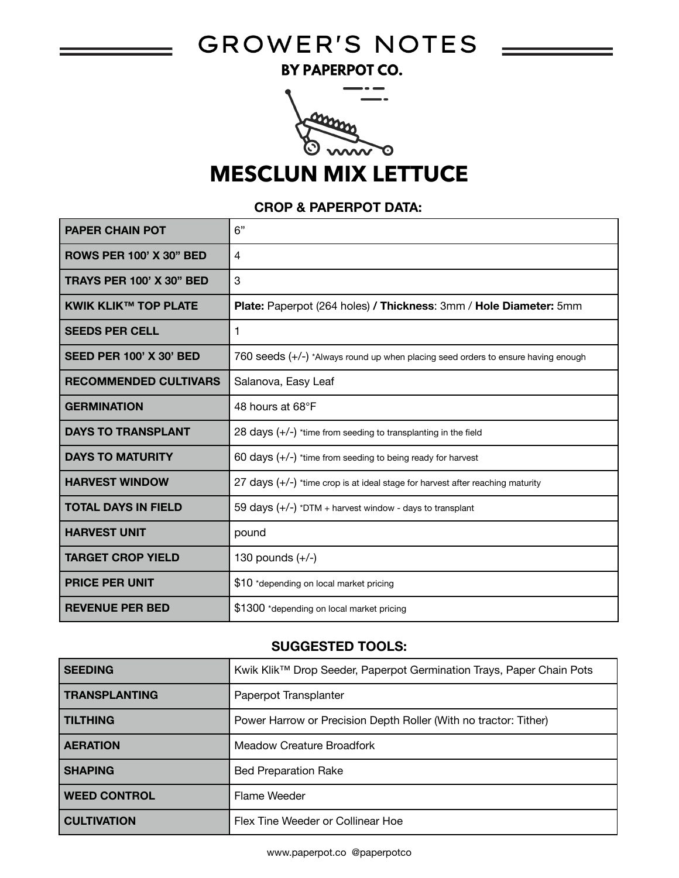# GROWER'S NOTES =

BY PAPERPOT CO.



# **MESCLUN MIX LETTUCE**

#### **CROP & PAPERPOT DATA:**

| <b>PAPER CHAIN POT</b>          | 6"                                                                                |
|---------------------------------|-----------------------------------------------------------------------------------|
| <b>ROWS PER 100' X 30" BED</b>  | 4                                                                                 |
| <b>TRAYS PER 100' X 30" BED</b> | 3                                                                                 |
| <b>KWIK KLIK™ TOP PLATE</b>     | Plate: Paperpot (264 holes) / Thickness: 3mm / Hole Diameter: 5mm                 |
| <b>SEEDS PER CELL</b>           | 1                                                                                 |
| <b>SEED PER 100' X 30' BED</b>  | 760 seeds (+/-) *Always round up when placing seed orders to ensure having enough |
| <b>RECOMMENDED CULTIVARS</b>    | Salanova, Easy Leaf                                                               |
| <b>GERMINATION</b>              | 48 hours at 68°F                                                                  |
| <b>DAYS TO TRANSPLANT</b>       | 28 days (+/-) *time from seeding to transplanting in the field                    |
| <b>DAYS TO MATURITY</b>         | 60 days $(+/-)$ *time from seeding to being ready for harvest                     |
| <b>HARVEST WINDOW</b>           | 27 days $(+/-)$ *time crop is at ideal stage for harvest after reaching maturity  |
| <b>TOTAL DAYS IN FIELD</b>      | 59 days $(+/-)$ *DTM + harvest window - days to transplant                        |
| <b>HARVEST UNIT</b>             | pound                                                                             |
| <b>TARGET CROP YIELD</b>        | 130 pounds $(+/-)$                                                                |
| <b>PRICE PER UNIT</b>           | \$10 *depending on local market pricing                                           |
| <b>REVENUE PER BED</b>          | \$1300 *depending on local market pricing                                         |

#### **SUGGESTED TOOLS:**

| <b>SEEDING</b>       | Kwik Klik™ Drop Seeder, Paperpot Germination Trays, Paper Chain Pots |
|----------------------|----------------------------------------------------------------------|
| <b>TRANSPLANTING</b> | Paperpot Transplanter                                                |
| <b>TILTHING</b>      | Power Harrow or Precision Depth Roller (With no tractor: Tither)     |
| <b>AERATION</b>      | <b>Meadow Creature Broadfork</b>                                     |
| <b>SHAPING</b>       | <b>Bed Preparation Rake</b>                                          |
| <b>WEED CONTROL</b>  | Flame Weeder                                                         |
| <b>CULTIVATION</b>   | Flex Tine Weeder or Collinear Hoe                                    |